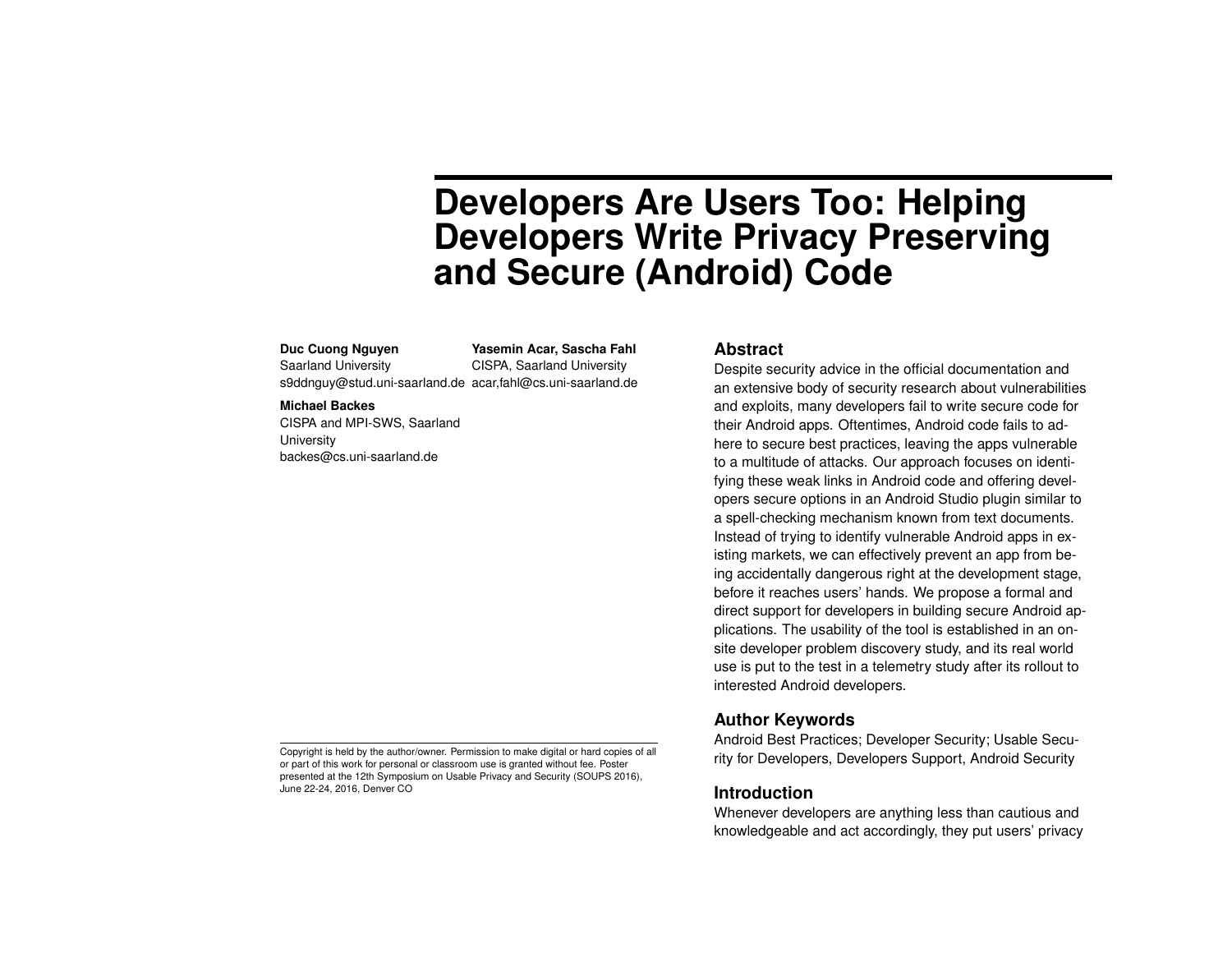# **Developers Are Users Too: Helping Developers Write Privacy Preserving and Secure (Android) Code**

#### **Duc Cuong Nguyen**

Saarland University s9ddnguy@stud.uni-saarland.de acar,fahl@cs.uni-saarland.de **Yasemin Acar, Sascha Fahl** CISPA, Saarland University

#### **Michael Backes**

CISPA and MPI-SWS, Saarland **University** backes@cs.uni-saarland.de

#### **Abstract**

Despite security advice in the official documentation and an extensive body of security research about vulnerabilities and exploits, many developers fail to write secure code for their Android apps. Oftentimes, Android code fails to adhere to secure best practices, leaving the apps vulnerable to a multitude of attacks. Our approach focuses on identifying these weak links in Android code and offering developers secure options in an Android Studio plugin similar to a spell-checking mechanism known from text documents. Instead of trying to identify vulnerable Android apps in existing markets, we can effectively prevent an app from being accidentally dangerous right at the development stage, before it reaches users' hands. We propose a formal and direct support for developers in building secure Android applications. The usability of the tool is established in an onsite developer problem discovery study, and its real world use is put to the test in a telemetry study after its rollout to interested Android developers.

## **Author Keywords**

Android Best Practices; Developer Security; Usable Security for Developers, Developers Support, Android Security

## **Introduction**

Whenever developers are anything less than cautious and knowledgeable and act accordingly, they put users' privacy

Copyright is held by the author/owner. Permission to make digital or hard copies of all or part of this work for personal or classroom use is granted without fee. Poster presented at the 12th Symposium on Usable Privacy and Security (SOUPS 2016), June 22-24, 2016, Denver CO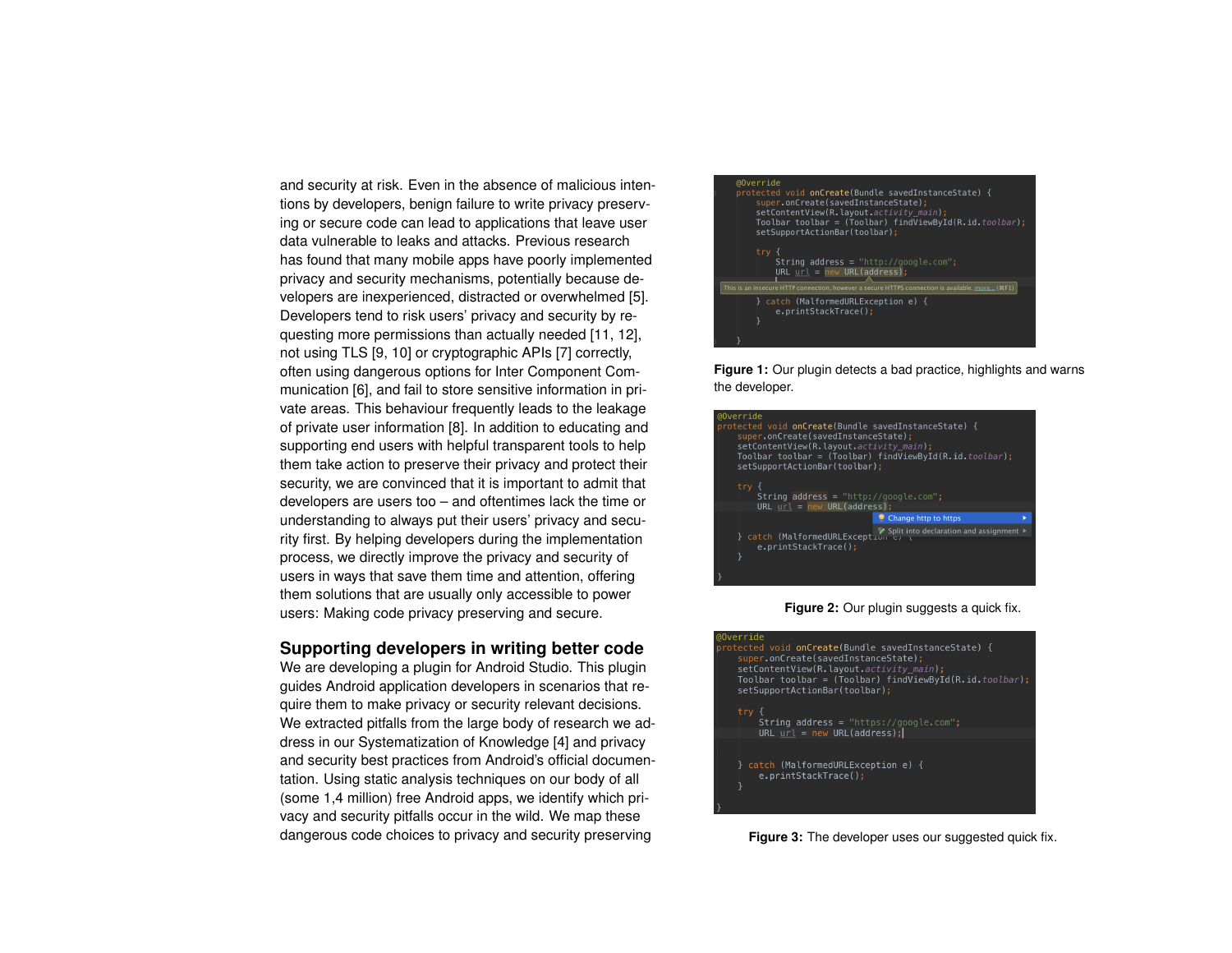and security at risk. Even in the absence of malicious intentions by developers, benign failure to write privacy preserving or secure code can lead to applications that leave user data vulnerable to leaks and attacks. Previous research has found that many mobile apps have poorly implemented privacy and security mechanisms, potentially because developers are inexperienced, distracted or overwhelmed [\[5\]](#page-4-0). Developers tend to risk users' privacy and security by requesting more permissions than actually needed [\[11,](#page-4-1) [12\]](#page-4-2), not using TLS [\[9,](#page-4-3) [10\]](#page-4-4) or cryptographic APIs [\[7\]](#page-4-5) correctly, often using dangerous options for Inter Component Communication [\[6\]](#page-4-6), and fail to store sensitive information in private areas. This behaviour frequently leads to the leakage of private user information [\[8\]](#page-4-7). In addition to educating and supporting end users with helpful transparent tools to help them take action to preserve their privacy and protect their security, we are convinced that it is important to admit that developers are users too – and oftentimes lack the time or understanding to always put their users' privacy and security first. By helping developers during the implementation process, we directly improve the privacy and security of users in ways that save them time and attention, offering them solutions that are usually only accessible to power users: Making code privacy preserving and secure.

#### **Supporting developers in writing better code**

We are developing a plugin for Android Studio. This plugin guides Android application developers in scenarios that require them to make privacy or security relevant decisions. We extracted pitfalls from the large body of research we address in our Systematization of Knowledge [\[4\]](#page-4-8) and privacy and security best practices from Android's official documentation. Using static analysis techniques on our body of all (some 1,4 million) free Android apps, we identify which privacy and security pitfalls occur in the wild. We map these dangerous code choices to privacy and security preserving

<span id="page-1-0"></span>

**Figure 1:** Our plugin detects a bad practice, highlights and warns the developer.

<span id="page-1-1"></span>

#### **Figure 2:** Our plugin suggests a quick fix.

<span id="page-1-2"></span>

**Figure 3:** The developer uses our suggested quick fix.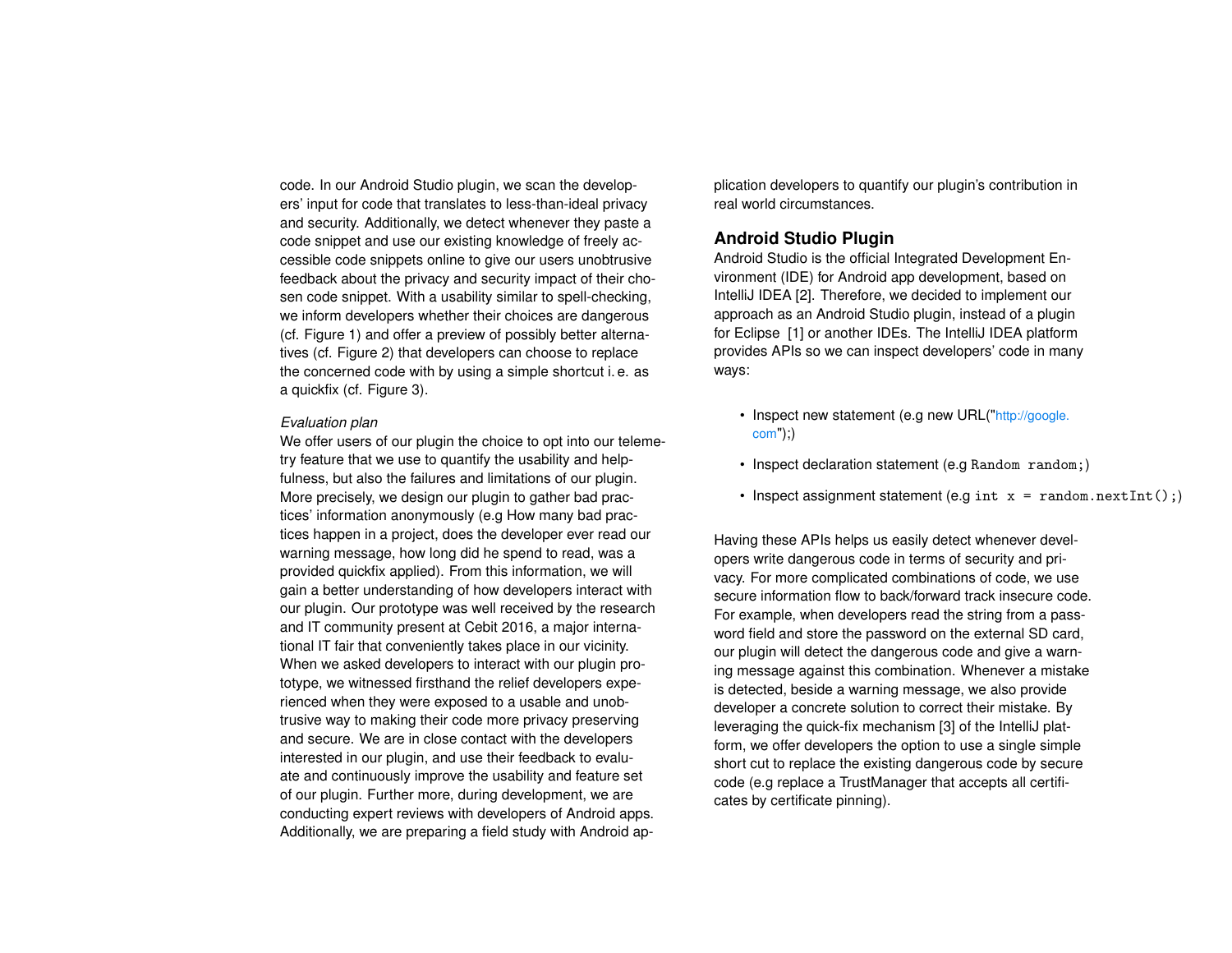code. In our Android Studio plugin, we scan the developers' input for code that translates to less-than-ideal privacy and security. Additionally, we detect whenever they paste a code snippet and use our existing knowledge of freely accessible code snippets online to give our users unobtrusive feedback about the privacy and security impact of their chosen code snippet. With a usability similar to spell-checking, we inform developers whether their choices are dangerous (cf. Figure [1\)](#page-1-0) and offer a preview of possibly better alternatives (cf. Figure [2\)](#page-1-1) that developers can choose to replace the concerned code with by using a simple shortcut i. e. as a quickfix (cf. Figure [3\)](#page-1-2).

#### *Evaluation plan*

We offer users of our plugin the choice to opt into our telemetry feature that we use to quantify the usability and helpfulness, but also the failures and limitations of our plugin. More precisely, we design our plugin to gather bad practices' information anonymously (e.g How many bad practices happen in a project, does the developer ever read our warning message, how long did he spend to read, was a provided quickfix applied). From this information, we will gain a better understanding of how developers interact with our plugin. Our prototype was well received by the research and IT community present at Cebit 2016, a major international IT fair that conveniently takes place in our vicinity. When we asked developers to interact with our plugin prototype, we witnessed firsthand the relief developers experienced when they were exposed to a usable and unobtrusive way to making their code more privacy preserving and secure. We are in close contact with the developers interested in our plugin, and use their feedback to evaluate and continuously improve the usability and feature set of our plugin. Further more, during development, we are conducting expert reviews with developers of Android apps. Additionally, we are preparing a field study with Android application developers to quantify our plugin's contribution in real world circumstances.

# **Android Studio Plugin**

Android Studio is the official Integrated Development Environment (IDE) for Android app development, based on IntelliJ IDEA [\[2\]](#page-4-9). Therefore, we decided to implement our approach as an Android Studio plugin, instead of a plugin for Eclipse [\[1\]](#page-4-10) or another IDEs. The IntelliJ IDEA platform provides APIs so we can inspect developers' code in many ways:

- Inspect new statement (e.g new URL("[http://google.](http://google.com)  $com$ );)
- Inspect declaration statement (e.g Random random;)
- Inspect assignment statement (e.g int  $x = \text{random.nextInt}()$ ;)

Having these APIs helps us easily detect whenever developers write dangerous code in terms of security and privacy. For more complicated combinations of code, we use secure information flow to back/forward track insecure code. For example, when developers read the string from a password field and store the password on the external SD card, our plugin will detect the dangerous code and give a warning message against this combination. Whenever a mistake is detected, beside a warning message, we also provide developer a concrete solution to correct their mistake. By leveraging the quick-fix mechanism [\[3\]](#page-4-11) of the IntelliJ platform, we offer developers the option to use a single simple short cut to replace the existing dangerous code by secure code (e.g replace a TrustManager that accepts all certificates by certificate pinning).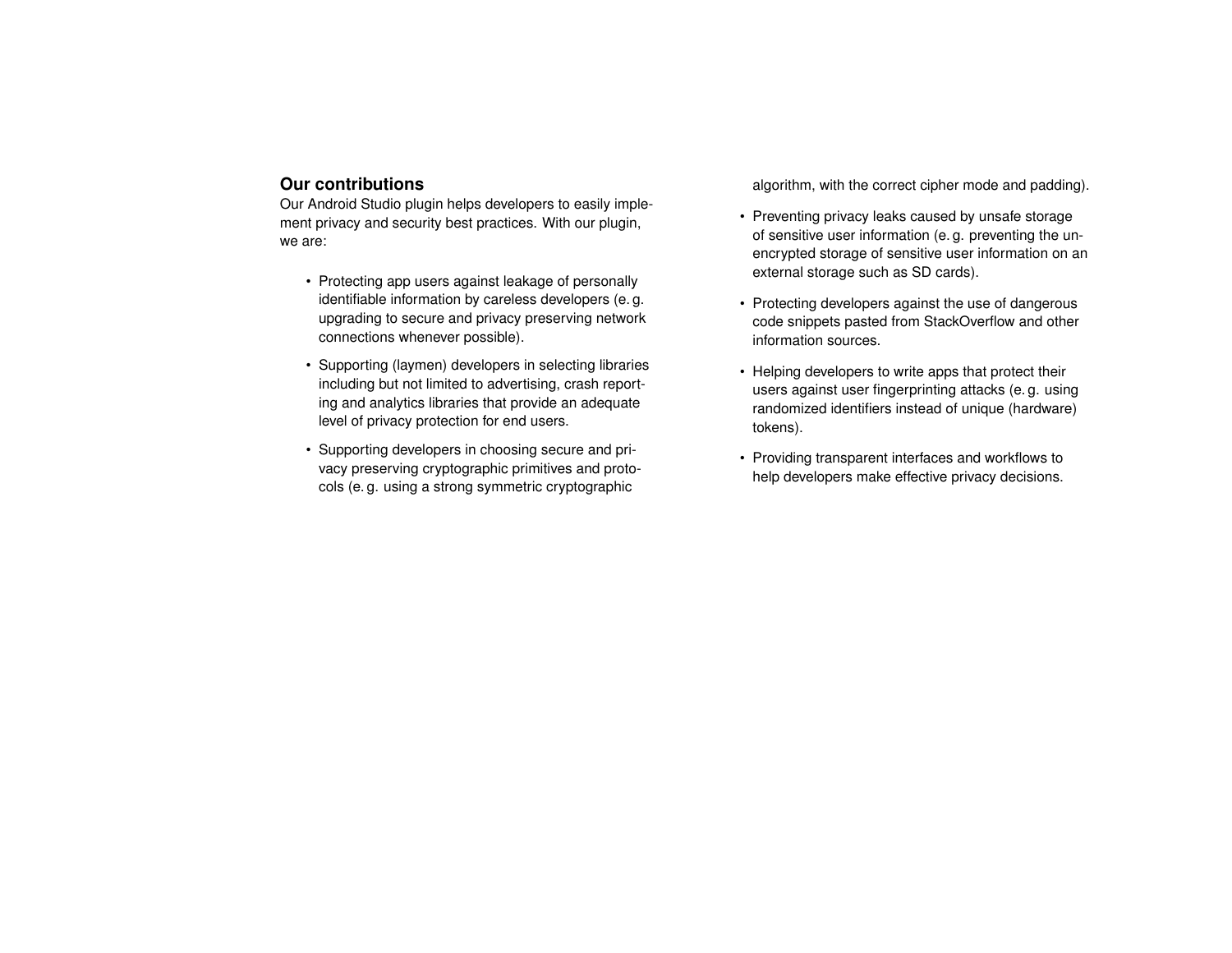# **Our contributions**

Our Android Studio plugin helps developers to easily implement privacy and security best practices. With our plugin, we are:

- Protecting app users against leakage of personally identifiable information by careless developers (e. g. upgrading to secure and privacy preserving network connections whenever possible).
- Supporting (laymen) developers in selecting libraries including but not limited to advertising, crash reporting and analytics libraries that provide an adequate level of privacy protection for end users.
- Supporting developers in choosing secure and privacy preserving cryptographic primitives and protocols (e. g. using a strong symmetric cryptographic

algorithm, with the correct cipher mode and padding).

- Preventing privacy leaks caused by unsafe storage of sensitive user information (e. g. preventing the unencrypted storage of sensitive user information on an external storage such as SD cards).
- Protecting developers against the use of dangerous code snippets pasted from StackOverflow and other information sources.
- Helping developers to write apps that protect their users against user fingerprinting attacks (e. g. using randomized identifiers instead of unique (hardware) tokens).
- Providing transparent interfaces and workflows to help developers make effective privacy decisions.